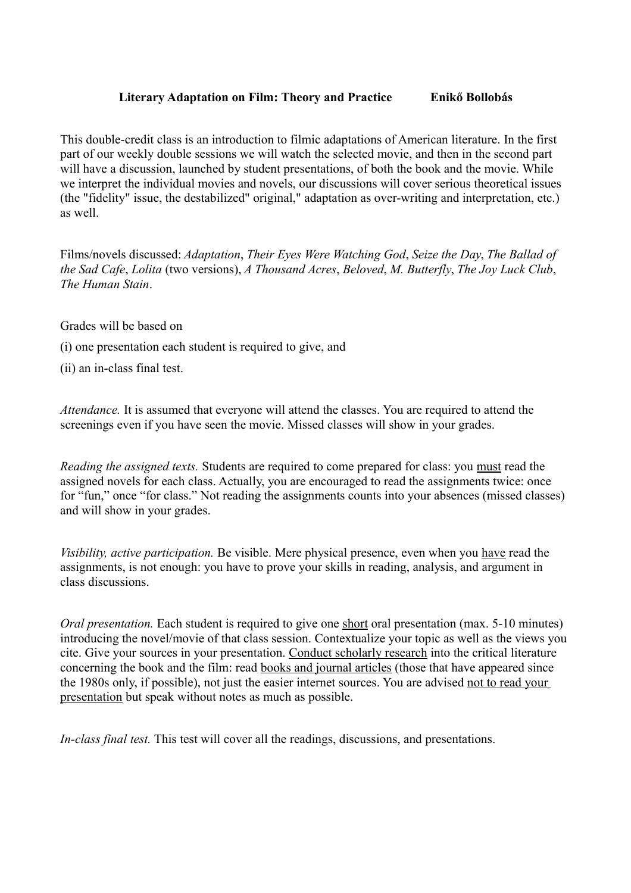## **Literary Adaptation on Film: Theory and Practice Enikő Bollobás**

This double-credit class is an introduction to filmic adaptations of American literature. In the first part of our weekly double sessions we will watch the selected movie, and then in the second part will have a discussion, launched by student presentations, of both the book and the movie. While we interpret the individual movies and novels, our discussions will cover serious theoretical issues (the "fidelity" issue, the destabilized" original," adaptation as over-writing and interpretation, etc.) as well.

Films/novels discussed: *Adaptation*, *Their Eyes Were Watching God*, *Seize the Day*, *The Ballad of the Sad Cafe*, *Lolita* (two versions), *A Thousand Acres*, *Beloved*, *M. Butterfly*, *The Joy Luck Club*, *The Human Stain*.

Grades will be based on

(i) one presentation each student is required to give, and

(ii) an in-class final test.

*Attendance.* It is assumed that everyone will attend the classes. You are required to attend the screenings even if you have seen the movie. Missed classes will show in your grades.

*Reading the assigned texts.* Students are required to come prepared for class: you must read the assigned novels for each class. Actually, you are encouraged to read the assignments twice: once for "fun," once "for class." Not reading the assignments counts into your absences (missed classes) and will show in your grades.

*Visibility, active participation.* Be visible. Mere physical presence, even when you have read the assignments, is not enough: you have to prove your skills in reading, analysis, and argument in class discussions.

*Oral presentation.* Each student is required to give one short oral presentation (max. 5-10 minutes) introducing the novel/movie of that class session. Contextualize your topic as well as the views you cite. Give your sources in your presentation. Conduct scholarly research into the critical literature concerning the book and the film: read books and journal articles (those that have appeared since the 1980s only, if possible), not just the easier internet sources. You are advised not to read your presentation but speak without notes as much as possible.

*In-class final test.* This test will cover all the readings, discussions, and presentations.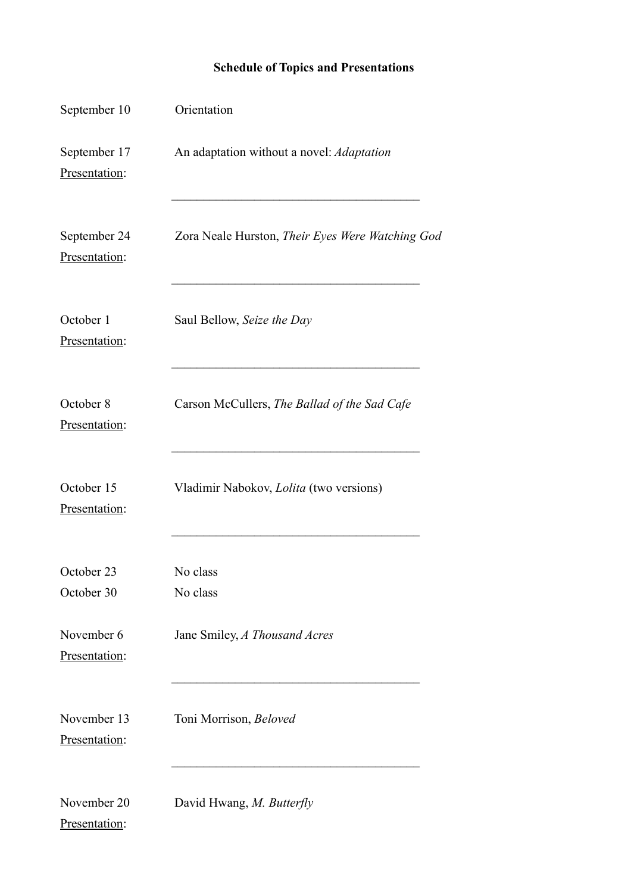## **Schedule of Topics and Presentations**

| September 10                  | Orientation                                      |
|-------------------------------|--------------------------------------------------|
| September 17<br>Presentation: | An adaptation without a novel: Adaptation        |
| September 24<br>Presentation: | Zora Neale Hurston, Their Eyes Were Watching God |
| October 1<br>Presentation:    | Saul Bellow, Seize the Day                       |
| October 8<br>Presentation:    | Carson McCullers, The Ballad of the Sad Cafe     |
| October 15<br>Presentation:   | Vladimir Nabokov, Lolita (two versions)          |
| October 23<br>October 30      | No class<br>No class                             |
| November 6<br>Presentation:   | Jane Smiley, A Thousand Acres                    |
| November 13<br>Presentation:  | Toni Morrison, Beloved                           |
| November 20<br>Presentation:  | David Hwang, M. Butterfly                        |